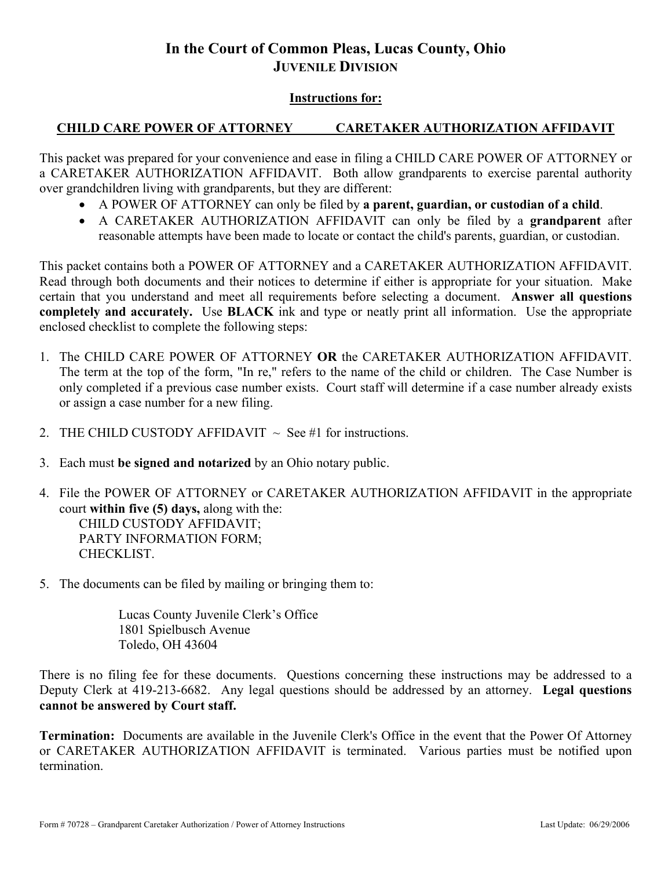## **In the Court of Common Pleas, Lucas County, Ohio JUVENILE DIVISION**

### **Instructions for:**

## **CHILD CARE POWER OF ATTORNEY CARETAKER AUTHORIZATION AFFIDAVIT**

This packet was prepared for your convenience and ease in filing a CHILD CARE POWER OF ATTORNEY or a CARETAKER AUTHORIZATION AFFIDAVIT. Both allow grandparents to exercise parental authority over grandchildren living with grandparents, but they are different:

- A POWER OF ATTORNEY can only be filed by **a parent, guardian, or custodian of a child**.
- A CARETAKER AUTHORIZATION AFFIDAVIT can only be filed by a **grandparent** after reasonable attempts have been made to locate or contact the child's parents, guardian, or custodian.

This packet contains both a POWER OF ATTORNEY and a CARETAKER AUTHORIZATION AFFIDAVIT. Read through both documents and their notices to determine if either is appropriate for your situation. Make certain that you understand and meet all requirements before selecting a document. **Answer all questions completely and accurately.** Use **BLACK** ink and type or neatly print all information. Use the appropriate enclosed checklist to complete the following steps:

- 1. The CHILD CARE POWER OF ATTORNEY **OR** the CARETAKER AUTHORIZATION AFFIDAVIT. The term at the top of the form, "In re," refers to the name of the child or children. The Case Number is only completed if a previous case number exists. Court staff will determine if a case number already exists or assign a case number for a new filing.
- 2. THE CHILD CUSTODY AFFIDAVIT  $\sim$  See #1 for instructions.
- 3. Each must **be signed and notarized** by an Ohio notary public.
- 4. File the POWER OF ATTORNEY or CARETAKER AUTHORIZATION AFFIDAVIT in the appropriate court **within five (5) days,** along with the: CHILD CUSTODY AFFIDAVIT; PARTY INFORMATION FORM; CHECKLIST.
- 5. The documents can be filed by mailing or bringing them to:

Lucas County Juvenile Clerk's Office 1801 Spielbusch Avenue Toledo, OH 43604

There is no filing fee for these documents. Questions concerning these instructions may be addressed to a Deputy Clerk at 419-213-6682. Any legal questions should be addressed by an attorney. **Legal questions cannot be answered by Court staff.**

**Termination:** Documents are available in the Juvenile Clerk's Office in the event that the Power Of Attorney or CARETAKER AUTHORIZATION AFFIDAVIT is terminated. Various parties must be notified upon termination.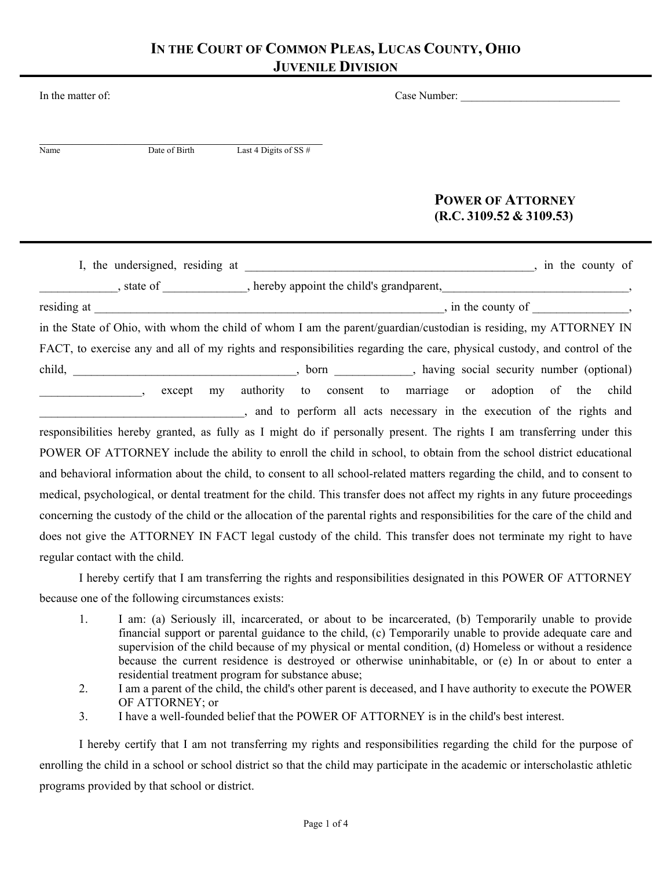# **IN THE COURT OF COMMON PLEAS, LUCAS COUNTY, OHIO JUVENILE DIVISION**

| In the matter of: | Number:<br>case |
|-------------------|-----------------|
|                   |                 |

|--|

Date of Birth Last 4 Digits of SS  $#$ 

## **POWER OF ATTORNEY (R.C. 3109.52 & 3109.53)**

| I, the undersigned, residing at                                                                                                 |                                                                        |  | , in the county of |
|---------------------------------------------------------------------------------------------------------------------------------|------------------------------------------------------------------------|--|--------------------|
|                                                                                                                                 |                                                                        |  |                    |
| residing at                                                                                                                     |                                                                        |  |                    |
| in the State of Ohio, with whom the child of whom I am the parent/guardian/custodian is residing, my ATTORNEY IN                |                                                                        |  |                    |
| FACT, to exercise any and all of my rights and responsibilities regarding the care, physical custody, and control of the        |                                                                        |  |                    |
|                                                                                                                                 |                                                                        |  |                    |
| except<br>my                                                                                                                    | authority to consent to marriage or adoption of the child              |  |                    |
|                                                                                                                                 | , and to perform all acts necessary in the execution of the rights and |  |                    |
| responsibilities hereby granted, as fully as I might do if personally present. The rights I am transferring under this          |                                                                        |  |                    |
| POWER OF ATTORNEY include the ability to enroll the child in school, to obtain from the school district educational             |                                                                        |  |                    |
| and behavioral information about the child, to consent to all school-related matters regarding the child, and to consent to     |                                                                        |  |                    |
| medical, psychological, or dental treatment for the child. This transfer does not affect my rights in any future proceedings    |                                                                        |  |                    |
| concerning the custody of the child or the allocation of the parental rights and responsibilities for the care of the child and |                                                                        |  |                    |
| does not give the ATTORNEY IN FACT legal custody of the child. This transfer does not terminate my right to have                |                                                                        |  |                    |
| regular contact with the child.                                                                                                 |                                                                        |  |                    |

I hereby certify that I am transferring the rights and responsibilities designated in this POWER OF ATTORNEY because one of the following circumstances exists:

- 1. I am: (a) Seriously ill, incarcerated, or about to be incarcerated, (b) Temporarily unable to provide financial support or parental guidance to the child, (c) Temporarily unable to provide adequate care and supervision of the child because of my physical or mental condition, (d) Homeless or without a residence because the current residence is destroyed or otherwise uninhabitable, or (e) In or about to enter a residential treatment program for substance abuse;
- 2. I am a parent of the child, the child's other parent is deceased, and I have authority to execute the POWER OF ATTORNEY; or
- 3. I have a well-founded belief that the POWER OF ATTORNEY is in the child's best interest.

I hereby certify that I am not transferring my rights and responsibilities regarding the child for the purpose of enrolling the child in a school or school district so that the child may participate in the academic or interscholastic athletic programs provided by that school or district.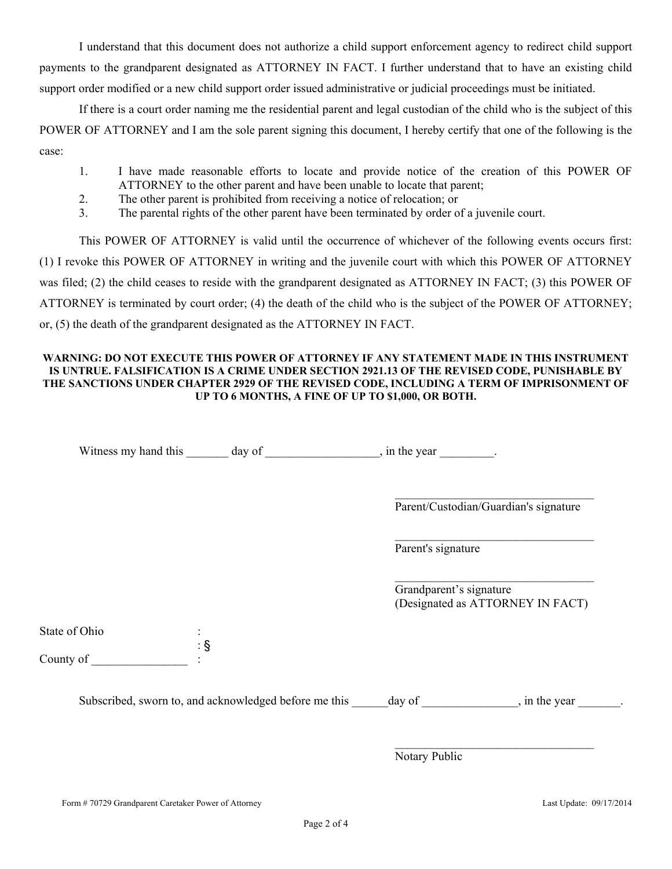I understand that this document does not authorize a child support enforcement agency to redirect child support payments to the grandparent designated as ATTORNEY IN FACT. I further understand that to have an existing child support order modified or a new child support order issued administrative or judicial proceedings must be initiated.

If there is a court order naming me the residential parent and legal custodian of the child who is the subject of this POWER OF ATTORNEY and I am the sole parent signing this document, I hereby certify that one of the following is the case:

- 1. I have made reasonable efforts to locate and provide notice of the creation of this POWER OF ATTORNEY to the other parent and have been unable to locate that parent;
- 2. The other parent is prohibited from receiving a notice of relocation; or
- 3. The parental rights of the other parent have been terminated by order of a juvenile court.

This POWER OF ATTORNEY is valid until the occurrence of whichever of the following events occurs first: (1) I revoke this POWER OF ATTORNEY in writing and the juvenile court with which this POWER OF ATTORNEY was filed; (2) the child ceases to reside with the grandparent designated as ATTORNEY IN FACT; (3) this POWER OF ATTORNEY is terminated by court order; (4) the death of the child who is the subject of the POWER OF ATTORNEY; or, (5) the death of the grandparent designated as the ATTORNEY IN FACT.

#### **WARNING: DO NOT EXECUTE THIS POWER OF ATTORNEY IF ANY STATEMENT MADE IN THIS INSTRUMENT IS UNTRUE. FALSIFICATION IS A CRIME UNDER SECTION 2921.13 OF THE REVISED CODE, PUNISHABLE BY THE SANCTIONS UNDER CHAPTER 2929 OF THE REVISED CODE, INCLUDING A TERM OF IMPRISONMENT OF UP TO 6 MONTHS, A FINE OF UP TO \$1,000, OR BOTH.**

|                             | Witness my hand this _______ day of _____________________, in the year _________.                      |                         |                                       |
|-----------------------------|--------------------------------------------------------------------------------------------------------|-------------------------|---------------------------------------|
|                             |                                                                                                        |                         | Parent/Custodian/Guardian's signature |
|                             |                                                                                                        | Parent's signature      |                                       |
|                             |                                                                                                        | Grandparent's signature | (Designated as ATTORNEY IN FACT)      |
| State of Ohio               |                                                                                                        |                         |                                       |
| County of <b>Exercise 2</b> | $\div \S$                                                                                              |                         |                                       |
|                             | Subscribed, sworn to, and acknowledged before me this ______ day of _____________, in the year ______. |                         |                                       |
|                             |                                                                                                        | Notary Public           |                                       |

Form # 70729 Grandparent Caretaker Power of Attorney Last Update: 09/17/2014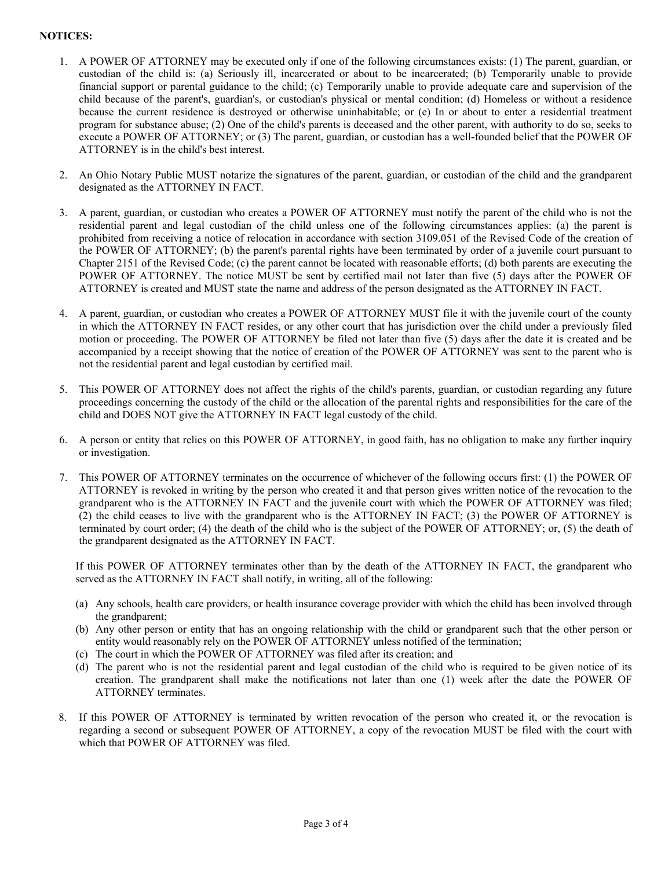#### **NOTICES:**

- 1. A POWER OF ATTORNEY may be executed only if one of the following circumstances exists: (1) The parent, guardian, or custodian of the child is: (a) Seriously ill, incarcerated or about to be incarcerated; (b) Temporarily unable to provide financial support or parental guidance to the child; (c) Temporarily unable to provide adequate care and supervision of the child because of the parent's, guardian's, or custodian's physical or mental condition; (d) Homeless or without a residence because the current residence is destroyed or otherwise uninhabitable; or (e) In or about to enter a residential treatment program for substance abuse; (2) One of the child's parents is deceased and the other parent, with authority to do so, seeks to execute a POWER OF ATTORNEY; or (3) The parent, guardian, or custodian has a well-founded belief that the POWER OF ATTORNEY is in the child's best interest.
- 2. An Ohio Notary Public MUST notarize the signatures of the parent, guardian, or custodian of the child and the grandparent designated as the ATTORNEY IN FACT.
- 3. A parent, guardian, or custodian who creates a POWER OF ATTORNEY must notify the parent of the child who is not the residential parent and legal custodian of the child unless one of the following circumstances applies: (a) the parent is prohibited from receiving a notice of relocation in accordance with section 3109.051 of the Revised Code of the creation of the POWER OF ATTORNEY; (b) the parent's parental rights have been terminated by order of a juvenile court pursuant to Chapter 2151 of the Revised Code; (c) the parent cannot be located with reasonable efforts; (d) both parents are executing the POWER OF ATTORNEY. The notice MUST be sent by certified mail not later than five (5) days after the POWER OF ATTORNEY is created and MUST state the name and address of the person designated as the ATTORNEY IN FACT.
- 4. A parent, guardian, or custodian who creates a POWER OF ATTORNEY MUST file it with the juvenile court of the county in which the ATTORNEY IN FACT resides, or any other court that has jurisdiction over the child under a previously filed motion or proceeding. The POWER OF ATTORNEY be filed not later than five (5) days after the date it is created and be accompanied by a receipt showing that the notice of creation of the POWER OF ATTORNEY was sent to the parent who is not the residential parent and legal custodian by certified mail.
- 5. This POWER OF ATTORNEY does not affect the rights of the child's parents, guardian, or custodian regarding any future proceedings concerning the custody of the child or the allocation of the parental rights and responsibilities for the care of the child and DOES NOT give the ATTORNEY IN FACT legal custody of the child.
- 6. A person or entity that relies on this POWER OF ATTORNEY, in good faith, has no obligation to make any further inquiry or investigation.
- 7. This POWER OF ATTORNEY terminates on the occurrence of whichever of the following occurs first: (1) the POWER OF ATTORNEY is revoked in writing by the person who created it and that person gives written notice of the revocation to the grandparent who is the ATTORNEY IN FACT and the juvenile court with which the POWER OF ATTORNEY was filed; (2) the child ceases to live with the grandparent who is the ATTORNEY IN FACT; (3) the POWER OF ATTORNEY is terminated by court order; (4) the death of the child who is the subject of the POWER OF ATTORNEY; or, (5) the death of the grandparent designated as the ATTORNEY IN FACT.

If this POWER OF ATTORNEY terminates other than by the death of the ATTORNEY IN FACT, the grandparent who served as the ATTORNEY IN FACT shall notify, in writing, all of the following:

- (a) Any schools, health care providers, or health insurance coverage provider with which the child has been involved through the grandparent;
- (b) Any other person or entity that has an ongoing relationship with the child or grandparent such that the other person or entity would reasonably rely on the POWER OF ATTORNEY unless notified of the termination;
- (c) The court in which the POWER OF ATTORNEY was filed after its creation; and
- (d) The parent who is not the residential parent and legal custodian of the child who is required to be given notice of its creation. The grandparent shall make the notifications not later than one (1) week after the date the POWER OF ATTORNEY terminates.
- 8. If this POWER OF ATTORNEY is terminated by written revocation of the person who created it, or the revocation is regarding a second or subsequent POWER OF ATTORNEY, a copy of the revocation MUST be filed with the court with which that POWER OF ATTORNEY was filed.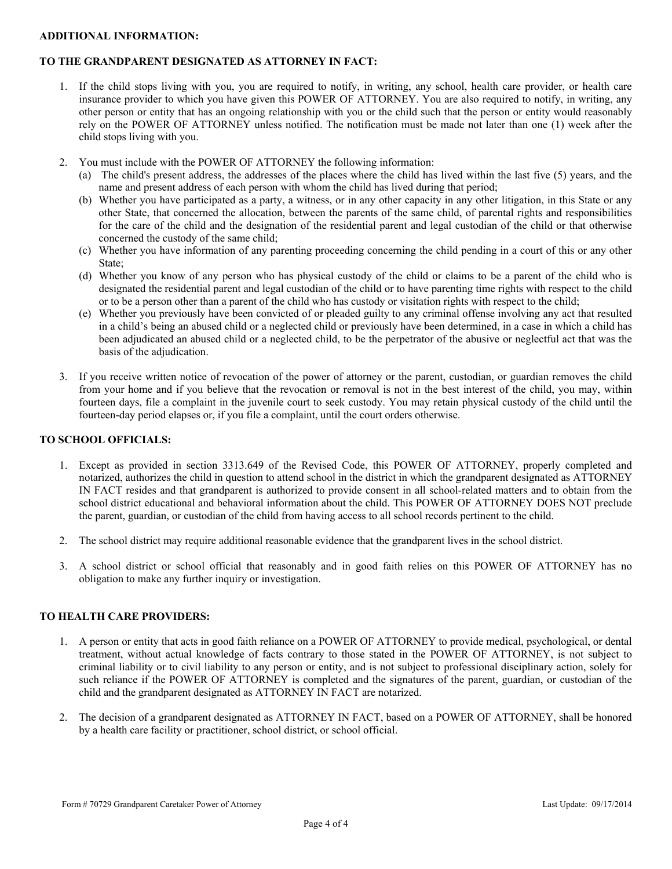#### **ADDITIONAL INFORMATION:**

#### **TO THE GRANDPARENT DESIGNATED AS ATTORNEY IN FACT:**

- 1. If the child stops living with you, you are required to notify, in writing, any school, health care provider, or health care insurance provider to which you have given this POWER OF ATTORNEY. You are also required to notify, in writing, any other person or entity that has an ongoing relationship with you or the child such that the person or entity would reasonably rely on the POWER OF ATTORNEY unless notified. The notification must be made not later than one (1) week after the child stops living with you.
- 2. You must include with the POWER OF ATTORNEY the following information:
	- (a) The child's present address, the addresses of the places where the child has lived within the last five (5) years, and the name and present address of each person with whom the child has lived during that period;
	- (b) Whether you have participated as a party, a witness, or in any other capacity in any other litigation, in this State or any other State, that concerned the allocation, between the parents of the same child, of parental rights and responsibilities for the care of the child and the designation of the residential parent and legal custodian of the child or that otherwise concerned the custody of the same child;
	- (c) Whether you have information of any parenting proceeding concerning the child pending in a court of this or any other State;
	- (d) Whether you know of any person who has physical custody of the child or claims to be a parent of the child who is designated the residential parent and legal custodian of the child or to have parenting time rights with respect to the child or to be a person other than a parent of the child who has custody or visitation rights with respect to the child;
	- (e) Whether you previously have been convicted of or pleaded guilty to any criminal offense involving any act that resulted in a child's being an abused child or a neglected child or previously have been determined, in a case in which a child has been adjudicated an abused child or a neglected child, to be the perpetrator of the abusive or neglectful act that was the basis of the adjudication.
- 3. If you receive written notice of revocation of the power of attorney or the parent, custodian, or guardian removes the child from your home and if you believe that the revocation or removal is not in the best interest of the child, you may, within fourteen days, file a complaint in the juvenile court to seek custody. You may retain physical custody of the child until the fourteen-day period elapses or, if you file a complaint, until the court orders otherwise.

#### **TO SCHOOL OFFICIALS:**

- 1. Except as provided in section 3313.649 of the Revised Code, this POWER OF ATTORNEY, properly completed and notarized, authorizes the child in question to attend school in the district in which the grandparent designated as ATTORNEY IN FACT resides and that grandparent is authorized to provide consent in all school-related matters and to obtain from the school district educational and behavioral information about the child. This POWER OF ATTORNEY DOES NOT preclude the parent, guardian, or custodian of the child from having access to all school records pertinent to the child.
- 2. The school district may require additional reasonable evidence that the grandparent lives in the school district.
- 3. A school district or school official that reasonably and in good faith relies on this POWER OF ATTORNEY has no obligation to make any further inquiry or investigation.

#### **TO HEALTH CARE PROVIDERS:**

- 1. A person or entity that acts in good faith reliance on a POWER OF ATTORNEY to provide medical, psychological, or dental treatment, without actual knowledge of facts contrary to those stated in the POWER OF ATTORNEY, is not subject to criminal liability or to civil liability to any person or entity, and is not subject to professional disciplinary action, solely for such reliance if the POWER OF ATTORNEY is completed and the signatures of the parent, guardian, or custodian of the child and the grandparent designated as ATTORNEY IN FACT are notarized.
- 2. The decision of a grandparent designated as ATTORNEY IN FACT, based on a POWER OF ATTORNEY, shall be honored by a health care facility or practitioner, school district, or school official.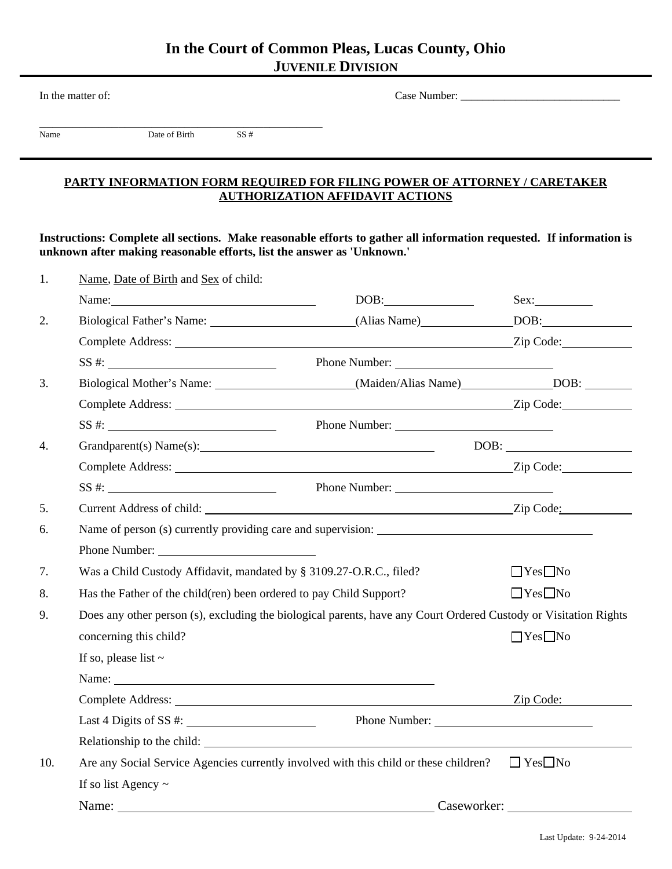## **In the Court of Common Pleas, Lucas County, Ohio JUVENILE DIVISION**

|  | In the matter of: |  |
|--|-------------------|--|
|  |                   |  |

In the matter of: Case Number: \_\_\_\_\_\_\_\_\_\_\_\_\_\_\_\_\_\_\_\_\_\_\_\_\_\_\_\_\_

\_\_\_\_\_\_\_\_\_\_\_\_\_\_\_\_\_\_\_\_\_\_\_\_\_\_\_\_\_\_\_\_\_\_\_\_\_\_\_\_\_\_\_ Name Date of Birth SS #

### **PARTY INFORMATION FORM REQUIRED FOR FILING POWER OF ATTORNEY / CARETAKER AUTHORIZATION AFFIDAVIT ACTIONS**

**Instructions: Complete all sections. Make reasonable efforts to gather all information requested. If information is unknown after making reasonable efforts, list the answer as 'Unknown.'** 

| 1.  | Name, Date of Birth and Sex of child:                                                                            |                                                                                                     |                      |  |  |
|-----|------------------------------------------------------------------------------------------------------------------|-----------------------------------------------------------------------------------------------------|----------------------|--|--|
|     | Name: Name:                                                                                                      | DOB:                                                                                                | Sex:                 |  |  |
| 2.  |                                                                                                                  | Biological Father's Name: (Alias Name)                                                              | DOB:                 |  |  |
|     |                                                                                                                  |                                                                                                     |                      |  |  |
|     | SS #:                                                                                                            |                                                                                                     |                      |  |  |
| 3.  |                                                                                                                  | Biological Mother's Name: ________________________(Maiden/Alias Name)______________DOB: ___________ |                      |  |  |
|     |                                                                                                                  | Complete Address: <u>Zip Code:</u> Zip Code:                                                        |                      |  |  |
|     |                                                                                                                  | Phone Number:                                                                                       |                      |  |  |
| 4.  |                                                                                                                  |                                                                                                     |                      |  |  |
|     |                                                                                                                  |                                                                                                     |                      |  |  |
|     | SS #:                                                                                                            |                                                                                                     |                      |  |  |
| 5.  |                                                                                                                  |                                                                                                     |                      |  |  |
| 6.  |                                                                                                                  | Name of person (s) currently providing care and supervision:                                        |                      |  |  |
|     | Phone Number:                                                                                                    |                                                                                                     |                      |  |  |
| 7.  | Was a Child Custody Affidavit, mandated by § 3109.27-O.R.C., filed?                                              |                                                                                                     | $\Box$ Yes $\Box$ No |  |  |
| 8.  | Has the Father of the child(ren) been ordered to pay Child Support?                                              |                                                                                                     | $\Box$ Yes $\Box$ No |  |  |
| 9.  | Does any other person (s), excluding the biological parents, have any Court Ordered Custody or Visitation Rights |                                                                                                     |                      |  |  |
|     | concerning this child?                                                                                           |                                                                                                     | $\Box$ Yes $\Box$ No |  |  |
|     | If so, please list $\sim$                                                                                        |                                                                                                     |                      |  |  |
|     |                                                                                                                  |                                                                                                     |                      |  |  |
|     |                                                                                                                  |                                                                                                     | Zip Code:            |  |  |
|     |                                                                                                                  | Last 4 Digits of SS #: Phone Number:                                                                |                      |  |  |
|     |                                                                                                                  |                                                                                                     |                      |  |  |
| 10. |                                                                                                                  | Are any Social Service Agencies currently involved with this child or these children?               | $\Box$ Yes $\Box$ No |  |  |
|     | If so list Agency $\sim$                                                                                         |                                                                                                     |                      |  |  |
|     |                                                                                                                  | Name: Caseworker:                                                                                   |                      |  |  |
|     |                                                                                                                  |                                                                                                     |                      |  |  |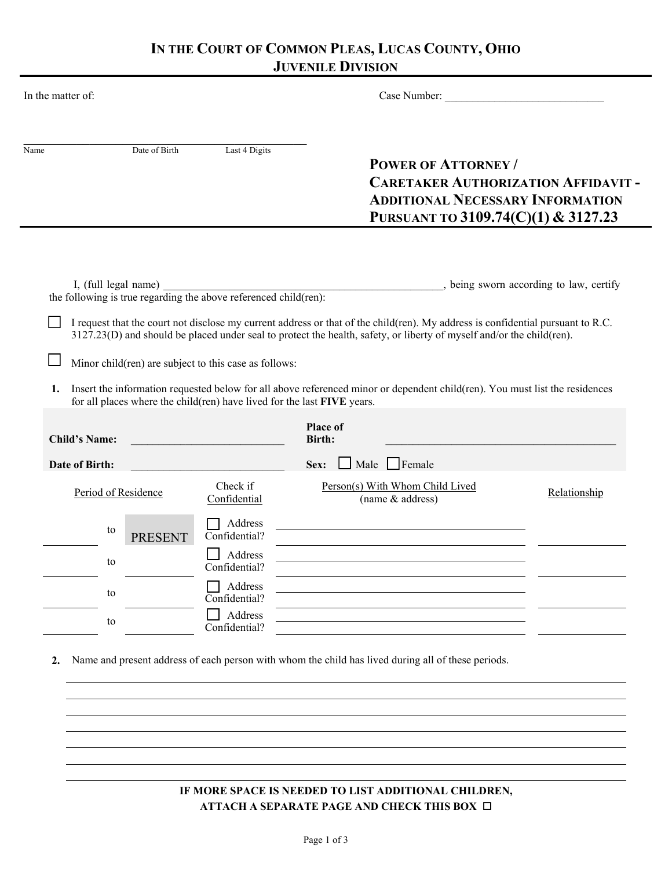# **IN THE COURT OF COMMON PLEAS, LUCAS COUNTY, OHIO JUVENILE DIVISION**

|      | In the matter of:                                                                        |                |                                                                                             | Case Number:                                                                                                                                                                                                                                                                                                                                                                            |                                       |
|------|------------------------------------------------------------------------------------------|----------------|---------------------------------------------------------------------------------------------|-----------------------------------------------------------------------------------------------------------------------------------------------------------------------------------------------------------------------------------------------------------------------------------------------------------------------------------------------------------------------------------------|---------------------------------------|
| Name |                                                                                          | Date of Birth  | Last 4 Digits                                                                               | <b>POWER OF ATTORNEY/</b><br><b>CARETAKER AUTHORIZATION AFFIDAVIT -</b><br><b>ADDITIONAL NECESSARY INFORMATION</b><br>PURSUANT TO 3109.74(C)(1) & 3127.23                                                                                                                                                                                                                               |                                       |
| 1.   | I, (full legal name)<br>the following is true regarding the above referenced child(ren): |                | Minor child(ren) are subject to this case as follows:                                       | I request that the court not disclose my current address or that of the child(ren). My address is confidential pursuant to R.C.<br>3127.23(D) and should be placed under seal to protect the health, safety, or liberty of myself and/or the child(ren).<br>Insert the information requested below for all above referenced minor or dependent child(ren). You must list the residences | being sworn according to law, certify |
|      | <b>Child's Name:</b>                                                                     |                |                                                                                             | for all places where the child(ren) have lived for the last FIVE years.<br>Place of<br>Birth:                                                                                                                                                                                                                                                                                           |                                       |
|      | Date of Birth:                                                                           |                |                                                                                             | Sex: $\Box$ Male $\Box$ Female                                                                                                                                                                                                                                                                                                                                                          |                                       |
|      | Period of Residence                                                                      |                | Check if<br>Confidential                                                                    | Person(s) With Whom Child Lived<br>(name & address)                                                                                                                                                                                                                                                                                                                                     | Relationship                          |
|      | to<br>to<br>to                                                                           | <b>PRESENT</b> | Address<br>Confidential?<br>Address<br>Confidential?<br>Address<br>Confidential?<br>Address | <u> 1989 - Johann John Stein, fransk politik (f. 1989)</u>                                                                                                                                                                                                                                                                                                                              |                                       |
| 2.   | to                                                                                       |                | Confidential?                                                                               | Name and present address of each person with whom the child has lived during all of these periods.                                                                                                                                                                                                                                                                                      |                                       |

### **IF MORE SPACE IS NEEDED TO LIST ADDITIONAL CHILDREN, ATTACH A SEPARATE PAGE AND CHECK THIS BOX**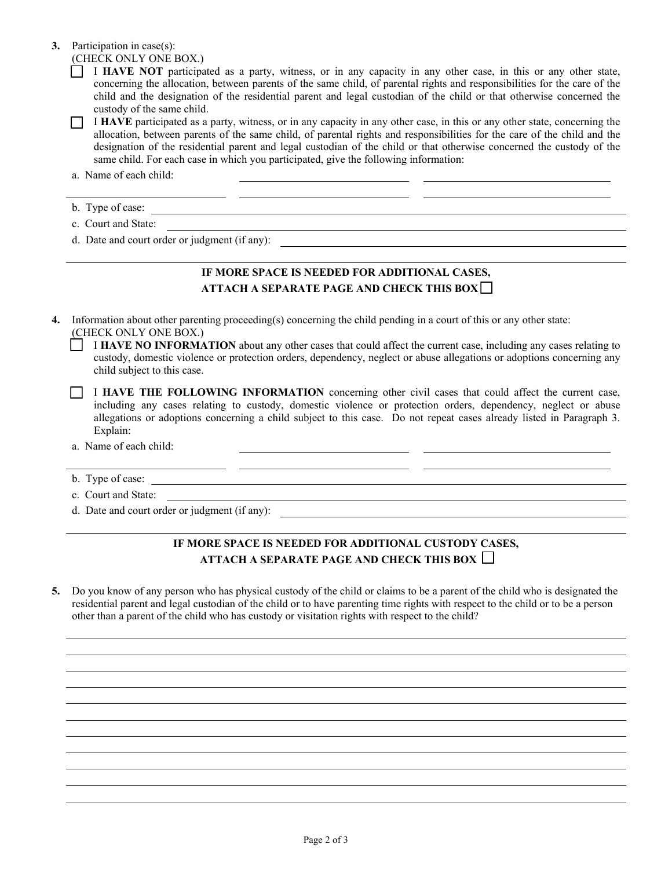**3.** Participation in case(s): (CHECK ONLY ONE BOX.)

|  | $C_{1111}C_{11}C_{111}C_{111}C_{111}C_{111}C_{111}C_{111}C_{111}C_{111}C_{111}C_{111}C_{111}C_{111}C_{111}C_{111}C_{111}C_{111}C_{111}C_{111}C_{111}C_{111}C_{111}C_{111}C_{111}C_{111}C_{111}C_{111}C_{111}C_{111}C_{111}C_{111}C_{111}C_{111}C_{111}C_{111}C_{11$ |  |
|--|---------------------------------------------------------------------------------------------------------------------------------------------------------------------------------------------------------------------------------------------------------------------|--|
|  | I HAVE NOT participated as a party, witness, or in any capacity in any other case, in this or any other state,                                                                                                                                                      |  |
|  | concerning the allocation, between parents of the same child, of parental rights and responsibilities for the care of the                                                                                                                                           |  |
|  | child and the designation of the residential parent and legal custodian of the child or that otherwise concerned the                                                                                                                                                |  |
|  | custody of the same child.                                                                                                                                                                                                                                          |  |

 I **HAVE** participated as a party, witness, or in any capacity in any other case, in this or any other state, concerning the allocation, between parents of the same child, of parental rights and responsibilities for the care of the child and the designation of the residential parent and legal custodian of the child or that otherwise concerned the custody of the same child. For each case in which you participated, give the following information:

<u> 1980 - Johann Barn, mars ann an t-Amhain Aonaich ann an t-Aonaich ann an t-Aonaich ann an t-Aonaich ann an t-</u>

- a. Name of each child:
- b. Type of case:

c. Court and State:

d. Date and court order or judgment (if any):

### **IF MORE SPACE IS NEEDED FOR ADDITIONAL CASES, ATTACH A SEPARATE PAGE AND CHECK THIS BOX**

**4.** Information about other parenting proceeding(s) concerning the child pending in a court of this or any other state: (CHECK ONLY ONE BOX.)

| $\Box$ I HAVE NO INFORMATION about any other cases that could affect the current case, including any cases relating to |
|------------------------------------------------------------------------------------------------------------------------|
| custody, domestic violence or protection orders, dependency, neglect or abuse allegations or adoptions concerning any  |
| child subject to this case.                                                                                            |

- I **HAVE THE FOLLOWING INFORMATION** concerning other civil cases that could affect the current case, including any cases relating to custody, domestic violence or protection orders, dependency, neglect or abuse allegations or adoptions concerning a child subject to this case. Do not repeat cases already listed in Paragraph 3. Explain:
- a. Name of each child:
- b. Type of case:
- c. Court and State:
- d. Date and court order or judgment (if any):

### **IF MORE SPACE IS NEEDED FOR ADDITIONAL CUSTODY CASES, ATTACH A SEPARATE PAGE AND CHECK THIS BOX**

**5.** Do you know of any person who has physical custody of the child or claims to be a parent of the child who is designated the residential parent and legal custodian of the child or to have parenting time rights with respect to the child or to be a person other than a parent of the child who has custody or visitation rights with respect to the child?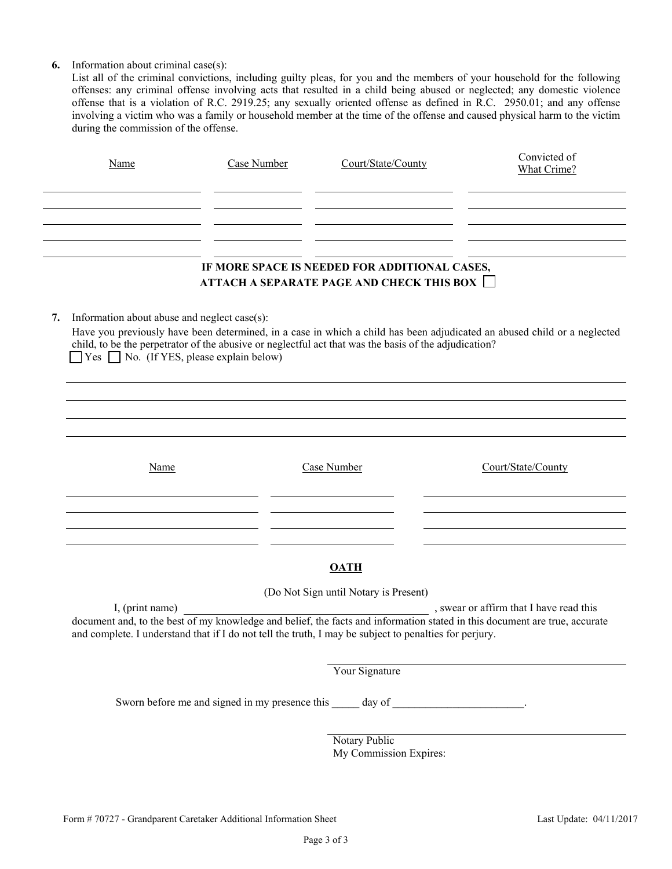#### **6.** Information about criminal case(s):

List all of the criminal convictions, including guilty pleas, for you and the members of your household for the following offenses: any criminal offense involving acts that resulted in a child being abused or neglected; any domestic violence offense that is a violation of R.C. 2919.25; any sexually oriented offense as defined in R.C. 2950.01; and any offense involving a victim who was a family or household member at the time of the offense and caused physical harm to the victim during the commission of the offense.

|                | <u>Name</u>                                                                                          | <b>Case Number</b>                                                                                    | Court/State/County                                                 | Convicted of<br><b>What Crime?</b>                                                                                                                                                                                                                                              |
|----------------|------------------------------------------------------------------------------------------------------|-------------------------------------------------------------------------------------------------------|--------------------------------------------------------------------|---------------------------------------------------------------------------------------------------------------------------------------------------------------------------------------------------------------------------------------------------------------------------------|
|                |                                                                                                      |                                                                                                       | IF MORE SPACE IS NEEDED FOR ADDITIONAL CASES,                      |                                                                                                                                                                                                                                                                                 |
|                |                                                                                                      |                                                                                                       | <b>ATTACH A SEPARATE PAGE AND CHECK THIS BOX <math>\Box</math></b> |                                                                                                                                                                                                                                                                                 |
| 7.             | Information about abuse and neglect case(s):<br>$\Box$ Yes $\Box$ No. (If YES, please explain below) | child, to be the perpetrator of the abusive or neglectful act that was the basis of the adjudication? |                                                                    | Have you previously have been determined, in a case in which a child has been adjudicated an abused child or a neglected                                                                                                                                                        |
|                |                                                                                                      |                                                                                                       |                                                                    |                                                                                                                                                                                                                                                                                 |
|                |                                                                                                      |                                                                                                       |                                                                    |                                                                                                                                                                                                                                                                                 |
|                | Name                                                                                                 |                                                                                                       | Case Number                                                        | Court/State/County                                                                                                                                                                                                                                                              |
|                |                                                                                                      |                                                                                                       |                                                                    |                                                                                                                                                                                                                                                                                 |
|                |                                                                                                      |                                                                                                       |                                                                    |                                                                                                                                                                                                                                                                                 |
|                |                                                                                                      |                                                                                                       | <b>OATH</b>                                                        |                                                                                                                                                                                                                                                                                 |
|                | I, (print name)                                                                                      |                                                                                                       | (Do Not Sign until Notary is Present)                              | , swear or affirm that I have read this<br>document and, to the best of my knowledge and belief, the facts and information stated in this document are true, accurate<br>and complete. I understand that if I do not tell the truth, I may be subject to penalties for perjury. |
| Your Signature |                                                                                                      |                                                                                                       |                                                                    |                                                                                                                                                                                                                                                                                 |
|                |                                                                                                      | Sworn before me and signed in my presence this _____ day of ____________________.                     |                                                                    |                                                                                                                                                                                                                                                                                 |
|                |                                                                                                      |                                                                                                       | Notary Public<br>My Commission Expires:                            |                                                                                                                                                                                                                                                                                 |